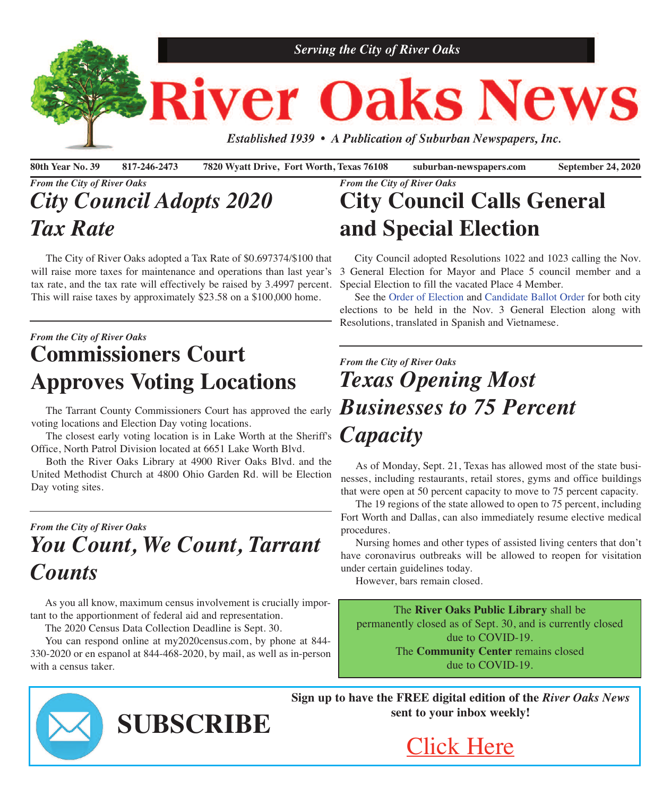

80th Year No. 39 817-246-2473 7820 Wyatt Drive, Fort Worth, Texas 76108 suburban-newspapers.com September 24, 2020

# *From the City of River Oaks City Council Adopts 2020 Tax Rate*

 The City of River Oaks adopted a Tax Rate of \$0.697374/\$100 that will raise more taxes for maintenance and operations than last year's tax rate, and the tax rate will effectively be raised by 3.4997 percent. This will raise taxes by approximately \$23.58 on a \$100,000 home.

## *From the City of River Oaks* **Commissioners Court Approves Voting Locations**

 The Tarrant County Commissioners Court has approved the early voting locations and Election Day voting locations.

 The closest early voting location is in Lake Worth at the Sheriff's Office, North Patrol Division located at 6651 Lake Worth Blvd.

 Both the River Oaks Library at 4900 River Oaks Blvd. and the United Methodist Church at 4800 Ohio Garden Rd. will be Election Day voting sites.

# *From the City of River Oaks You Count, We Count, Tarrant Counts*

 As you all know, maximum census involvement is crucially important to the apportionment of federal aid and representation.

The 2020 Census Data Collection Deadline is Sept. 30.

 You can respond online at my2020census.com, by phone at 844- 330-2020 or en espanol at 844-468-2020, by mail, as well as in-person with a census taker.

**SUBSCRIBE**

#### *From the City of River Oaks* **City Council Calls General and Special Election**

 City Council adopted Resolutions 1022 and 1023 calling the Nov. 3 General Election for Mayor and Place 5 council member and a Special Election to fill the vacated Place 4 Member.

 See the Order of [Election](http://www.riveroakstx.com/doc/Nov3OrderofElection.pdf) and [Candidate](http://www.riveroakstx.com/doc/ROCandidates2020.pdf) Ballot Order for both city elections to be held in the Nov. 3 General Election along with Resolutions, translated in Spanish and Vietnamese.

# *From the City of River Oaks Texas Opening Most Businesses to 75 Percent Capacity*

 As of Monday, Sept. 21, Texas has allowed most of the state businesses, including restaurants, retail stores, gyms and office buildings that were open at 50 percent capacity to move to 75 percent capacity.

 The 19 regions of the state allowed to open to 75 percent, including Fort Worth and Dallas, can also immediately resume elective medical procedures.

 Nursing homes and other types of assisted living centers that don't have coronavirus outbreaks will be allowed to reopen for visitation under certain guidelines today.

However, bars remain closed.

The **River Oaks Public Library** shall be permanently closed as of Sept. 30, and is currently closed due to COVID-19. The **Community Center** remains closed due to COVID-19.

**Sign up to have the FREE digital edition of the** *River Oaks News* **sent to your inbox weekly!**



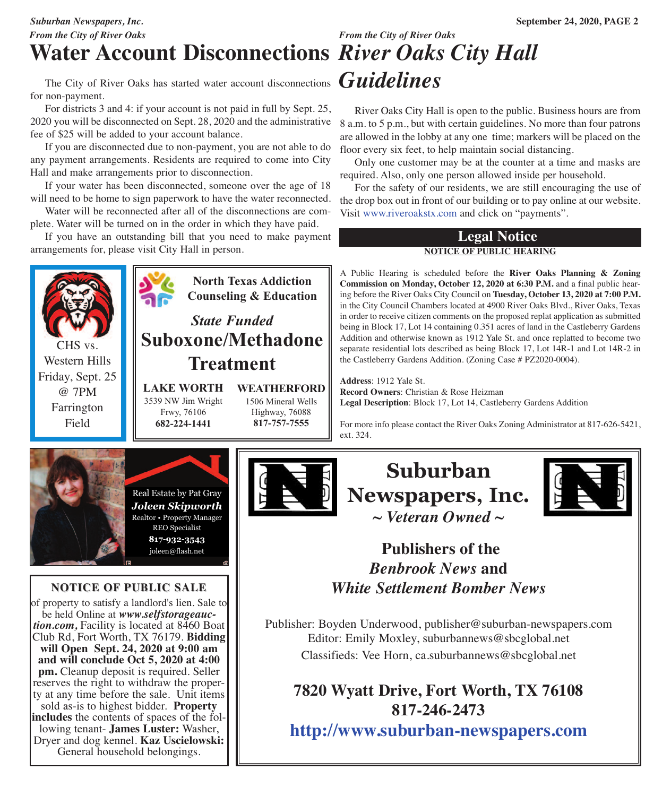# *From the City of River Oaks*

# **Water Account Disconnections** *River Oaks City Hall*

The City of River Oaks has started water account disconnections **Guidelines** for non-payment.

 For districts 3 and 4: if your account is not paid in full by Sept. 25, 2020 you will be disconnected on Sept. 28, 2020 and the administrative fee of \$25 will be added to your account balance.

 If you are disconnected due to non-payment, you are not able to do any payment arrangements. Residents are required to come into City Hall and make arrangements prior to disconnection.

 If your water has been disconnected, someone over the age of 18 will need to be home to sign paperwork to have the water reconnected.

 Water will be reconnected after all of the disconnections are complete. Water will be turned on in the order in which they have paid.

 If you have an outstanding bill that you need to make payment arrangements for, please visit City Hall in person.



of property to satisfy a landlord's lien. Sale to<br>be held Online at www.selfstorageauction.com, Facility is located at 8460 Boat Club Rd, Fort Worth, TX 76179. **Bidding will Open Sept. 24, 2020 at 9:00 am and will conclude Oct 5, 2020 at 4:00 pm.** Cleanup deposit is required. Seller reserves the right to withdraw the property at any time before the sale. Unit items sold as-is to highest bidder. **Property**<br>includes the contents of spaces of the following tenant- **James Luster:** Washer, Dryer and dog kennel. **Kaz Uscielowski:** General household belongings.

# *From the City of River Oaks*

 River Oaks City Hall is open to the public. Business hours are from 8 a.m. to 5 p.m., but with certain guidelines. No more than four patrons are allowed in the lobby at any one time; markers will be placed on the floor every six feet, to help maintain social distancing.

 Only one customer may be at the counter at a time and masks are required. Also, only one person allowed inside per household.

 For the safety of our residents, we are still encouraging the use of the drop box out in front of our building or to pay online at our website. Visit [www.riveroakstx.com](www.riveroakstx.com ) and click on "payments".

#### **Legal Notice NOTICE OF PUBLIC HEARING**

A Public Hearing is scheduled before the **River Oaks Planning & Zoning Commission on Monday, October 12, 2020 at 6:30 P.M.** and a final public hearing before the River Oaks City Council on **Tuesday, October 13, 2020 at 7:00 P.M.** in the City Council Chambers located at 4900 River Oaks Blvd., River Oaks, Texas in order to receive citizen comments on the proposed replat application as submitted being in Block 17, Lot 14 containing 0.351 acres of land in the Castleberry Gardens Addition and otherwise known as 1912 Yale St. and once replatted to become two separate residential lots described as being Block 17, Lot 14R-1 and Lot 14R-2 in the Castleberry Gardens Addition. (Zoning Case # PZ2020-0004).

**Address**: 1912 Yale St. **Record Owners**: Christian & Rose Heizman **Legal Description**: Block 17, Lot 14, Castleberry Gardens Addition

For more info please contact the River Oaks Zoning Administrator at 817-626-5421, ext. 324.





#### **Publishers of the** *Benbrook News* **and** *White Settlement Bomber News*

Publisher: Boyden Underwood, publisher@suburban-newspapers.com Editor: Emily Moxley, suburbannews@sbcglobal.net Classifieds: Vee Horn, ca.suburbannews@sbcglobal.net

**7820 Wyatt Drive, Fort Worth, TX 76108 817-246-2473 <http://www.suburban-newspapers.com>**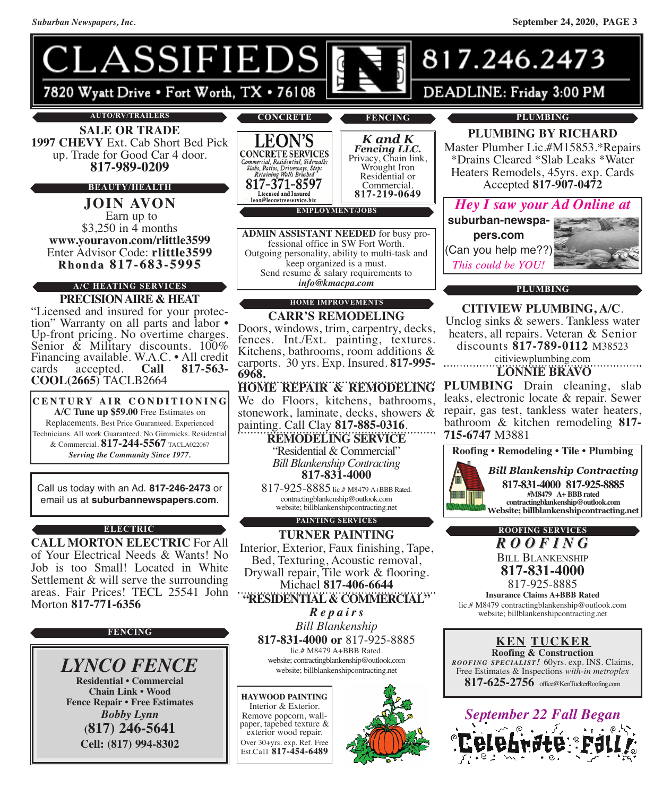